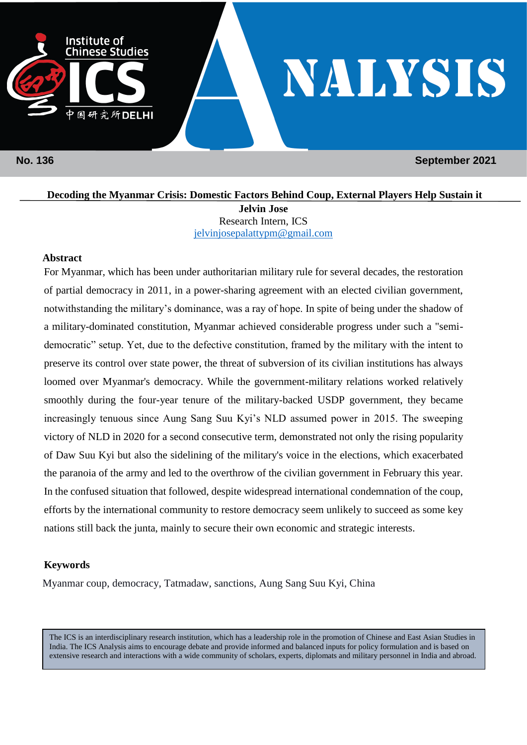

 **No. 136 September 2021**

**Decoding the Myanmar Crisis: Domestic Factors Behind Coup, External Players Help Sustain it Jelvin Jose** Research Intern, ICS [jelvinjosepalattypm@gmail.com](mailto:jelvinjosepalattypm@gmail.com)

### **Abstract**

For Myanmar, which has been under authoritarian military rule for several decades, the restoration of partial democracy in 2011, in a power-sharing agreement with an elected civilian government, notwithstanding the military's dominance, was a ray of hope. In spite of being under the shadow of a military-dominated constitution, Myanmar achieved considerable progress under such a "semidemocratic" setup. Yet, due to the defective constitution, framed by the military with the intent to preserve its control over state power, the threat of subversion of its civilian institutions has always loomed over Myanmar's democracy. While the government-military relations worked relatively smoothly during the four-year tenure of the military-backed USDP government, they became increasingly tenuous since Aung Sang Suu Kyi's NLD assumed power in 2015. The sweeping victory of NLD in 2020 for a second consecutive term, demonstrated not only the rising popularity of Daw Suu Kyi but also the sidelining of the military's voice in the elections, which exacerbated the paranoia of the army and led to the overthrow of the civilian government in February this year. In the confused situation that followed, despite widespread international condemnation of the coup, efforts by the international community to restore democracy seem unlikely to succeed as some key nations still back the junta, mainly to secure their own economic and strategic interests.

## **Keywords**

Myanmar coup, democracy, Tatmadaw, sanctions, Aung Sang Suu Kyi, China

The ICS is an interdisciplinary research institution, which has a leadership role in the promotion of Chinese and East Asian Studies in India. The ICS Analysis aims to encourage debate and provide informed and balanced inputs for policy formulation and is based on extensive research and interactions with a wide community of scholars, experts, diplomats and military personnel in India and abroad.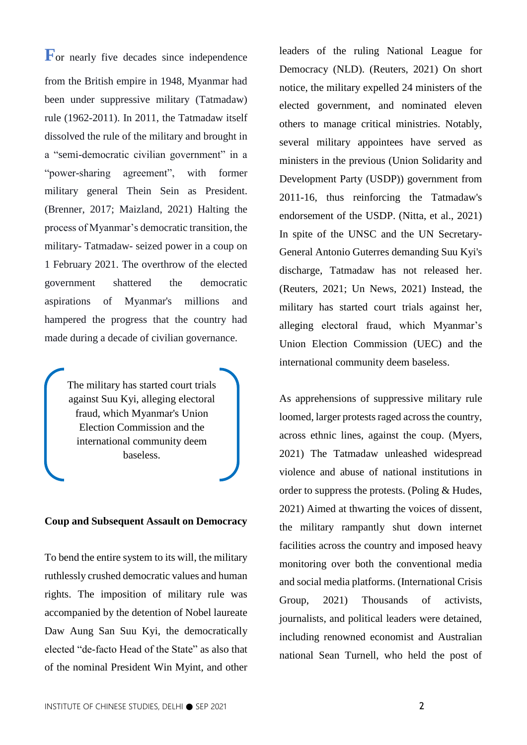**F**<sub>or</sub> nearly five decades since independence from the British empire in 1948, Myanmar had been under suppressive military (Tatmadaw) rule (1962-2011). In 2011, the Tatmadaw itself dissolved the rule of the military and brought in a "semi-democratic civilian government" in a "power-sharing agreement", with former military general Thein Sein as President. (Brenner, 2017; Maizland, 2021) Halting the process of Myanmar's democratic transition, the military- Tatmadaw- seized power in a coup on 1 February 2021. The overthrow of the elected government shattered the democratic aspirations of Myanmar's millions and hampered the progress that the country had made during a decade of civilian governance.

> The military has started court trials against Suu Kyi, alleging electoral fraud, which Myanmar's Union Election Commission and the international community deem baseless.

#### **Coup and Subsequent Assault on Democracy**

To bend the entire system to its will, the military ruthlessly crushed democratic values and human rights. The imposition of military rule was accompanied by the detention of Nobel laureate Daw Aung San Suu Kyi, the democratically elected "de-facto Head of the State" as also that of the nominal President Win Myint, and other leaders of the ruling National League for Democracy (NLD). (Reuters, 2021) On short notice, the military expelled 24 ministers of the elected government, and nominated eleven others to manage critical ministries. Notably, several military appointees have served as ministers in the previous (Union Solidarity and Development Party (USDP)) government from 2011-16, thus reinforcing the Tatmadaw's endorsement of the USDP. (Nitta, et al., 2021) In spite of the UNSC and the UN Secretary-General Antonio Guterres demanding Suu Kyi's discharge, Tatmadaw has not released her. (Reuters, 2021; Un News, 2021) Instead, the military has started court trials against her, alleging electoral fraud, which Myanmar's Union Election Commission (UEC) and the international community deem baseless.

As apprehensions of suppressive military rule loomed, larger protests raged across the country, across ethnic lines, against the coup. (Myers, 2021) The Tatmadaw unleashed widespread violence and abuse of national institutions in order to suppress the protests. (Poling & Hudes, 2021) Aimed at thwarting the voices of dissent, the military rampantly shut down internet facilities across the country and imposed heavy monitoring over both the conventional media and social media platforms. (International Crisis Group, 2021) Thousands of activists, journalists, and political leaders were detained, including renowned economist and Australian national Sean Turnell, who held the post of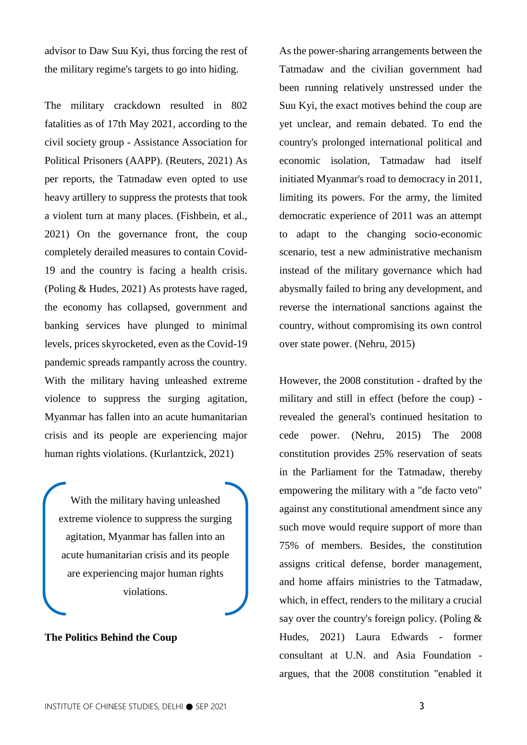advisor to Daw Suu Kyi, thus forcing the rest of the military regime's targets to go into hiding.

The military crackdown resulted in 802 fatalities as of 17th May 2021, according to the civil society group - Assistance Association for Political Prisoners (AAPP). (Reuters, 2021) As per reports, the Tatmadaw even opted to use heavy artillery to suppress the protests that took a violent turn at many places. (Fishbein, et al., 2021) On the governance front, the coup completely derailed measures to contain Covid-19 and the country is facing a health crisis. (Poling & Hudes, 2021) As protests have raged, the economy has collapsed, government and banking services have plunged to minimal levels, prices skyrocketed, even as the Covid-19 pandemic spreads rampantly across the country. With the military having unleashed extreme violence to suppress the surging agitation, Myanmar has fallen into an acute humanitarian crisis and its people are experiencing major human rights violations. (Kurlantzick, 2021)

With the military having unleashed extreme violence to suppress the surging agitation, Myanmar has fallen into an acute humanitarian crisis and its people are experiencing major human rights violations.

#### **The Politics Behind the Coup**

As the power-sharing arrangements between the Tatmadaw and the civilian government had been running relatively unstressed under the Suu Kyi, the exact motives behind the coup are yet unclear, and remain debated. To end the country's prolonged international political and economic isolation, Tatmadaw had itself initiated Myanmar's road to democracy in 2011, limiting its powers. For the army, the limited democratic experience of 2011 was an attempt to adapt to the changing socio-economic scenario, test a new administrative mechanism instead of the military governance which had abysmally failed to bring any development, and reverse the international sanctions against the country, without compromising its own control over state power. (Nehru, 2015)

However, the 2008 constitution - drafted by the military and still in effect (before the coup) revealed the general's continued hesitation to cede power. (Nehru, 2015) The 2008 constitution provides 25% reservation of seats in the Parliament for the Tatmadaw, thereby empowering the military with a "de facto veto" against any constitutional amendment since any such move would require support of more than 75% of members. Besides, the constitution assigns critical defense, border management, and home affairs ministries to the Tatmadaw, which, in effect, renders to the military a crucial say over the country's foreign policy. (Poling & Hudes, 2021) Laura Edwards - former consultant at U.N. and Asia Foundation argues, that the 2008 constitution "enabled it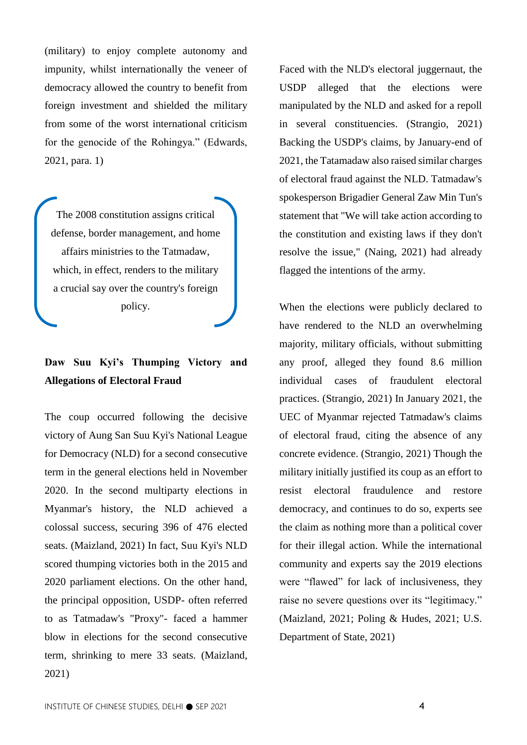(military) to enjoy complete autonomy and impunity, whilst internationally the veneer of democracy allowed the country to benefit from foreign investment and shielded the military from some of the worst international criticism for the genocide of the Rohingya." (Edwards, 2021, para. 1)

The 2008 constitution assigns critical defense, border management, and home affairs ministries to the Tatmadaw, which, in effect, renders to the military a crucial say over the country's foreign policy.

# **Daw Suu Kyi's Thumping Victory and Allegations of Electoral Fraud**

The coup occurred following the decisive victory of Aung San Suu Kyi's National League for Democracy (NLD) for a second consecutive term in the general elections held in November 2020. In the second multiparty elections in Myanmar's history, the NLD achieved a colossal success, securing 396 of 476 elected seats. (Maizland, 2021) In fact, Suu Kyi's NLD scored thumping victories both in the 2015 and 2020 parliament elections. On the other hand, the principal opposition, USDP- often referred to as Tatmadaw's "Proxy"- faced a hammer blow in elections for the second consecutive term, shrinking to mere 33 seats. (Maizland, 2021)

Faced with the NLD's electoral juggernaut, the USDP alleged that the elections were manipulated by the NLD and asked for a repoll in several constituencies. (Strangio, 2021) Backing the USDP's claims, by January-end of 2021, the Tatamadaw also raised similar charges of electoral fraud against the NLD. Tatmadaw's spokesperson Brigadier General Zaw Min Tun's statement that "We will take action according to the constitution and existing laws if they don't resolve the issue," (Naing, 2021) had already flagged the intentions of the army.

When the elections were publicly declared to have rendered to the NLD an overwhelming majority, military officials, without submitting any proof, alleged they found 8.6 million individual cases of fraudulent electoral practices. (Strangio, 2021) In January 2021, the UEC of Myanmar rejected Tatmadaw's claims of electoral fraud, citing the absence of any concrete evidence. (Strangio, 2021) Though the military initially justified its coup as an effort to resist electoral fraudulence and restore democracy, and continues to do so, experts see the claim as nothing more than a political cover for their illegal action. While the international community and experts say the 2019 elections were "flawed" for lack of inclusiveness, they raise no severe questions over its "legitimacy." (Maizland, 2021; Poling & Hudes, 2021; U.S. Department of State, 2021)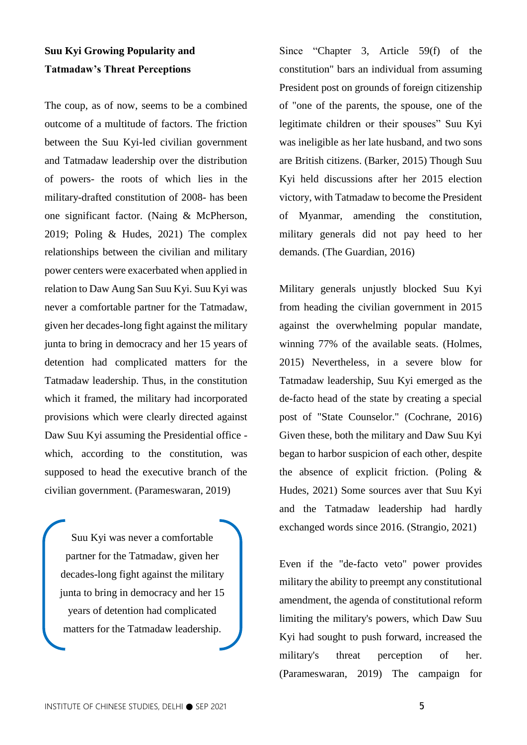# **Suu Kyi Growing Popularity and Tatmadaw's Threat Perceptions**

The coup, as of now, seems to be a combined outcome of a multitude of factors. The friction between the Suu Kyi-led civilian government and Tatmadaw leadership over the distribution of powers- the roots of which lies in the military-drafted constitution of 2008- has been one significant factor. (Naing & McPherson, 2019; Poling & Hudes, 2021) The complex relationships between the civilian and military power centers were exacerbated when applied in relation to Daw Aung San Suu Kyi. Suu Kyi was never a comfortable partner for the Tatmadaw, given her decades-long fight against the military junta to bring in democracy and her 15 years of detention had complicated matters for the Tatmadaw leadership. Thus, in the constitution which it framed, the military had incorporated provisions which were clearly directed against Daw Suu Kyi assuming the Presidential office which, according to the constitution, was supposed to head the executive branch of the civilian government. (Parameswaran, 2019)

Suu Kyi was never a comfortable partner for the Tatmadaw, given her decades-long fight against the military junta to bring in democracy and her 15 years of detention had complicated matters for the Tatmadaw leadership.

Since "Chapter 3, Article 59(f) of the constitution" bars an individual from assuming President post on grounds of foreign citizenship of "one of the parents, the spouse, one of the legitimate children or their spouses" Suu Kyi was ineligible as her late husband, and two sons are British citizens. (Barker, 2015) Though Suu Kyi held discussions after her 2015 election victory, with Tatmadaw to become the President of Myanmar, amending the constitution, military generals did not pay heed to her demands. (The Guardian, 2016)

Military generals unjustly blocked Suu Kyi from heading the civilian government in 2015 against the overwhelming popular mandate, winning 77% of the available seats. (Holmes, 2015) Nevertheless, in a severe blow for Tatmadaw leadership, Suu Kyi emerged as the de-facto head of the state by creating a special post of "State Counselor." (Cochrane, 2016) Given these, both the military and Daw Suu Kyi began to harbor suspicion of each other, despite the absence of explicit friction. (Poling & Hudes, 2021) Some sources aver that Suu Kyi and the Tatmadaw leadership had hardly exchanged words since 2016. (Strangio, 2021)

Even if the "de-facto veto" power provides military the ability to preempt any constitutional amendment, the agenda of constitutional reform limiting the military's powers, which Daw Suu Kyi had sought to push forward, increased the military's threat perception of her. (Parameswaran, 2019) The campaign for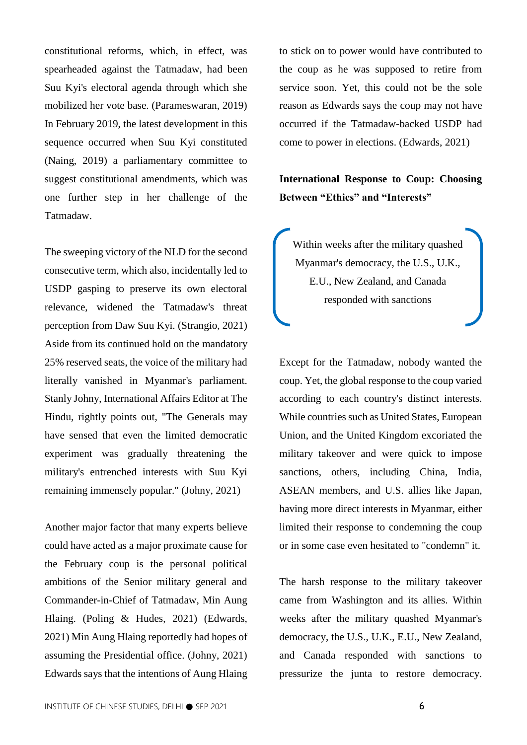constitutional reforms, which, in effect, was spearheaded against the Tatmadaw, had been Suu Kyi's electoral agenda through which she mobilized her vote base. (Parameswaran, 2019) In February 2019, the latest development in this sequence occurred when Suu Kyi constituted (Naing, 2019) a parliamentary committee to suggest constitutional amendments, which was one further step in her challenge of the Tatmadaw.

The sweeping victory of the NLD for the second consecutive term, which also, incidentally led to USDP gasping to preserve its own electoral relevance, widened the Tatmadaw's threat perception from Daw Suu Kyi. (Strangio, 2021) Aside from its continued hold on the mandatory 25% reserved seats, the voice of the military had literally vanished in Myanmar's parliament. Stanly Johny, International Affairs Editor at The Hindu, rightly points out, "The Generals may have sensed that even the limited democratic experiment was gradually threatening the military's entrenched interests with Suu Kyi remaining immensely popular." (Johny, 2021)

Another major factor that many experts believe could have acted as a major proximate cause for the February coup is the personal political ambitions of the Senior military general and Commander-in-Chief of Tatmadaw, Min Aung Hlaing. (Poling & Hudes, 2021) (Edwards, 2021) Min Aung Hlaing reportedly had hopes of assuming the Presidential office. (Johny, 2021) Edwards says that the intentions of Aung Hlaing to stick on to power would have contributed to the coup as he was supposed to retire from service soon. Yet, this could not be the sole reason as Edwards says the coup may not have occurred if the Tatmadaw-backed USDP had come to power in elections. (Edwards, 2021)

**International Response to Coup: Choosing Between "Ethics" and "Interests"** 

Within weeks after the military quashed Myanmar's democracy, the U.S., U.K., E.U., New Zealand, and Canada responded with sanctions

l

Except for the Tatmadaw, nobody wanted the coup. Yet, the global response to the coup varied according to each country's distinct interests. While countries such as United States, European Union, and the United Kingdom excoriated the military takeover and were quick to impose sanctions, others, including China, India, ASEAN members, and U.S. allies like Japan, having more direct interests in Myanmar, either limited their response to condemning the coup or in some case even hesitated to "condemn" it.

The harsh response to the military takeover came from Washington and its allies. Within weeks after the military quashed Myanmar's democracy, the U.S., U.K., E.U., New Zealand, and Canada responded with sanctions to pressurize the junta to restore democracy.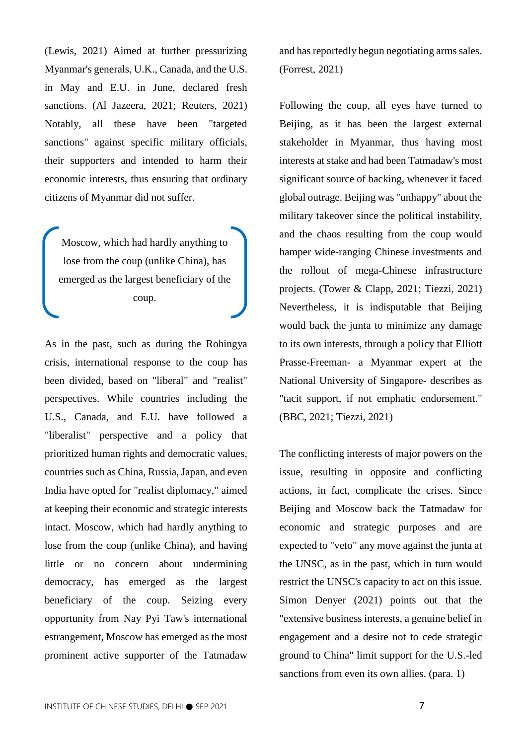(Lewis, 2021) Aimed at further pressurizing Myanmar's generals, U.K., Canada, and the U.S. in May and E.U. in June, declared fresh sanctions. (Al Jazeera, 2021; Reuters, 2021) Notably, all these have been "targeted sanctions" against specific military officials, their supporters and intended to harm their economic interests, thus ensuring that ordinary citizens of Myanmar did not suffer.

Moscow, which had hardly anything to lose from the coup (unlike China), has emerged as the largest beneficiary of the coup.

As in the past, such as during the Rohingya crisis, international response to the coup has been divided, based on "liberal" and "realist" perspectives. While countries including the U.S., Canada, and E.U. have followed a "liberalist" perspective and a policy that prioritized human rights and democratic values, countries such as China, Russia, Japan, and even India have opted for "realist diplomacy," aimed at keeping their economic and strategic interests intact. Moscow, which had hardly anything to lose from the coup (unlike China), and having little or no concern about undermining democracy, has emerged as the largest beneficiary of the coup. Seizing every opportunity from Nay Pyi Taw's international estrangement, Moscow has emerged as the most prominent active supporter of the Tatmadaw

and has reportedly begun negotiating arms sales. (Forrest, 2021)

Following the coup, all eyes have turned to Beijing, as it has been the largest external stakeholder in Myanmar, thus having most interests at stake and had been Tatmadaw's most significant source of backing, whenever it faced global outrage. Beijing was "unhappy" about the military takeover since the political instability, and the chaos resulting from the coup would hamper wide-ranging Chinese investments and the rollout of mega-Chinese infrastructure projects. (Tower & Clapp, 2021; Tiezzi, 2021) Nevertheless, it is indisputable that Beijing would back the junta to minimize any damage to its own interests, through a policy that Elliott Prasse-Freeman- a Myanmar expert at the National University of Singapore- describes as "tacit support, if not emphatic endorsement." (BBC, 2021; Tiezzi, 2021)

The conflicting interests of major powers on the issue, resulting in opposite and conflicting actions, in fact, complicate the crises. Since Beijing and Moscow back the Tatmadaw for economic and strategic purposes and are expected to "veto" any move against the junta at the UNSC, as in the past, which in turn would restrict the UNSC's capacity to act on this issue. Simon Denyer (2021) points out that the "extensive business interests, a genuine belief in engagement and a desire not to cede strategic ground to China" limit support for the U.S.-led sanctions from even its own allies. (para. 1)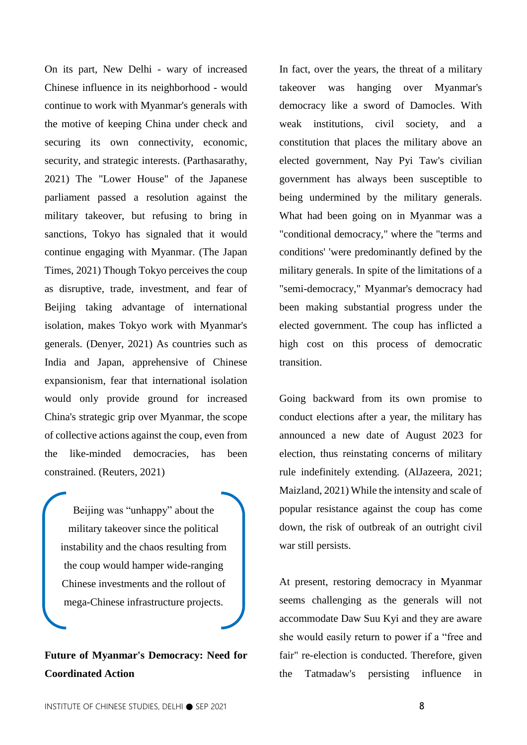On its part, New Delhi - wary of increased Chinese influence in its neighborhood - would continue to work with Myanmar's generals with the motive of keeping China under check and securing its own connectivity, economic, security, and strategic interests. (Parthasarathy, 2021) The "Lower House" of the Japanese parliament passed a resolution against the military takeover, but refusing to bring in sanctions, Tokyo has signaled that it would continue engaging with Myanmar. (The Japan Times, 2021) Though Tokyo perceives the coup as disruptive, trade, investment, and fear of Beijing taking advantage of international isolation, makes Tokyo work with Myanmar's generals. (Denyer, 2021) As countries such as India and Japan, apprehensive of Chinese expansionism, fear that international isolation would only provide ground for increased China's strategic grip over Myanmar, the scope of collective actions against the coup, even from the like-minded democracies, has been constrained. (Reuters, 2021)

Beijing was "unhappy" about the military takeover since the political instability and the chaos resulting from the coup would hamper wide-ranging Chinese investments and the rollout of mega-Chinese infrastructure projects.

**Future of Myanmar's Democracy: Need for Coordinated Action**

In fact, over the years, the threat of a military takeover was hanging over Myanmar's democracy like a sword of Damocles. With weak institutions, civil society, and a constitution that places the military above an elected government, Nay Pyi Taw's civilian government has always been susceptible to being undermined by the military generals. What had been going on in Myanmar was a "conditional democracy," where the "terms and conditions' 'were predominantly defined by the military generals. In spite of the limitations of a "semi-democracy," Myanmar's democracy had been making substantial progress under the elected government. The coup has inflicted a high cost on this process of democratic transition.

Going backward from its own promise to conduct elections after a year, the military has announced a new date of August 2023 for election, thus reinstating concerns of military rule indefinitely extending. (AlJazeera, 2021; Maizland, 2021) While the intensity and scale of popular resistance against the coup has come down, the risk of outbreak of an outright civil war still persists.

At present, restoring democracy in Myanmar seems challenging as the generals will not accommodate Daw Suu Kyi and they are aware she would easily return to power if a "free and fair" re-election is conducted. Therefore, given the Tatmadaw's persisting influence in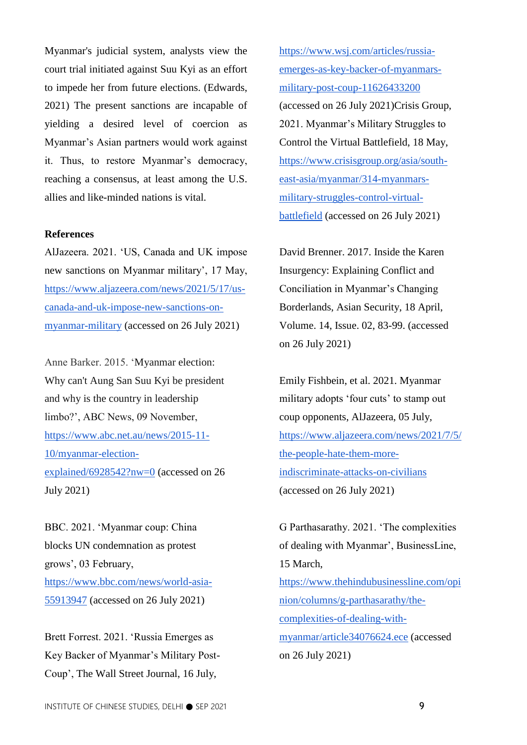Myanmar's judicial system, analysts view the court trial initiated against Suu Kyi as an effort to impede her from future elections. (Edwards, 2021) The present sanctions are incapable of yielding a desired level of coercion as Myanmar's Asian partners would work against it. Thus, to restore Myanmar's democracy, reaching a consensus, at least among the U.S. allies and like-minded nations is vital.

### **References**

AlJazeera. 2021. 'US, Canada and UK impose new sanctions on Myanmar military', 17 May, [https://www.aljazeera.com/news/2021/5/17/us](https://www.aljazeera.com/news/2021/5/17/us-canada-and-uk-impose-new-sanctions-on-myanmar-military)[canada-and-uk-impose-new-sanctions-on](https://www.aljazeera.com/news/2021/5/17/us-canada-and-uk-impose-new-sanctions-on-myanmar-military)[myanmar-military](https://www.aljazeera.com/news/2021/5/17/us-canada-and-uk-impose-new-sanctions-on-myanmar-military) (accessed on 26 July 2021)

Anne Barker. 2015. 'Myanmar election: Why can't Aung San Suu Kyi be president and why is the country in leadership limbo?', ABC News, 09 November, [https://www.abc.net.au/news/2015-11-](https://www.abc.net.au/news/2015-11-10/myanmar-election-explained/6928542?nw=0) [10/myanmar-election](https://www.abc.net.au/news/2015-11-10/myanmar-election-explained/6928542?nw=0)[explained/6928542?nw=0](https://www.abc.net.au/news/2015-11-10/myanmar-election-explained/6928542?nw=0) (accessed on 26 July 2021)

BBC. 2021. 'Myanmar coup: China blocks UN condemnation as protest grows', 03 February, [https://www.bbc.com/news/world-asia-](https://www.bbc.com/news/world-asia-55913947)[55913947](https://www.bbc.com/news/world-asia-55913947) (accessed on 26 July 2021)

Brett Forrest. 2021. 'Russia Emerges as Key Backer of Myanmar's Military Post-Coup', The Wall Street Journal, 16 July,

[https://www.wsj.com/articles/russia](https://www.wsj.com/articles/russia-emerges-as-key-backer-of-myanmars-military-post-coup-11626433200)[emerges-as-key-backer-of-myanmars](https://www.wsj.com/articles/russia-emerges-as-key-backer-of-myanmars-military-post-coup-11626433200)[military-post-coup-11626433200](https://www.wsj.com/articles/russia-emerges-as-key-backer-of-myanmars-military-post-coup-11626433200) (accessed on 26 July 2021)Crisis Group, 2021. Myanmar's Military Struggles to Control the Virtual Battlefield, 18 May, [https://www.crisisgroup.org/asia/south](https://www.crisisgroup.org/asia/south-east-asia/myanmar/314-myanmars-military-struggles-control-virtual-battlefield)[east-asia/myanmar/314-myanmars](https://www.crisisgroup.org/asia/south-east-asia/myanmar/314-myanmars-military-struggles-control-virtual-battlefield)[military-struggles-control-virtual](https://www.crisisgroup.org/asia/south-east-asia/myanmar/314-myanmars-military-struggles-control-virtual-battlefield)[battlefield](https://www.crisisgroup.org/asia/south-east-asia/myanmar/314-myanmars-military-struggles-control-virtual-battlefield) (accessed on 26 July 2021)

David Brenner. 2017. Inside the Karen Insurgency: Explaining Conflict and Conciliation in Myanmar's Changing Borderlands, Asian Security, 18 April, Volume. 14, Issue. 02, 83-99. (accessed on 26 July 2021)

Emily Fishbein, et al. 2021. Myanmar military adopts 'four cuts' to stamp out coup opponents, AlJazeera, 05 July, [https://www.aljazeera.com/news/2021/7/5/](https://www.aljazeera.com/news/2021/7/5/the-people-hate-them-more-indiscriminate-attacks-on-civilians) [the-people-hate-them-more](https://www.aljazeera.com/news/2021/7/5/the-people-hate-them-more-indiscriminate-attacks-on-civilians)[indiscriminate-attacks-on-civilians](https://www.aljazeera.com/news/2021/7/5/the-people-hate-them-more-indiscriminate-attacks-on-civilians) (accessed on 26 July 2021)

G Parthasarathy. 2021. 'The complexities of dealing with Myanmar', BusinessLine, 15 March, [https://www.thehindubusinessline.com/opi](https://www.thehindubusinessline.com/opinion/columns/g-parthasarathy/the-complexities-of-dealing-with-myanmar/article34076624.ece) [nion/columns/g-parthasarathy/the](https://www.thehindubusinessline.com/opinion/columns/g-parthasarathy/the-complexities-of-dealing-with-myanmar/article34076624.ece)[complexities-of-dealing-with](https://www.thehindubusinessline.com/opinion/columns/g-parthasarathy/the-complexities-of-dealing-with-myanmar/article34076624.ece)[myanmar/article34076624.ece](https://www.thehindubusinessline.com/opinion/columns/g-parthasarathy/the-complexities-of-dealing-with-myanmar/article34076624.ece) (accessed on 26 July 2021)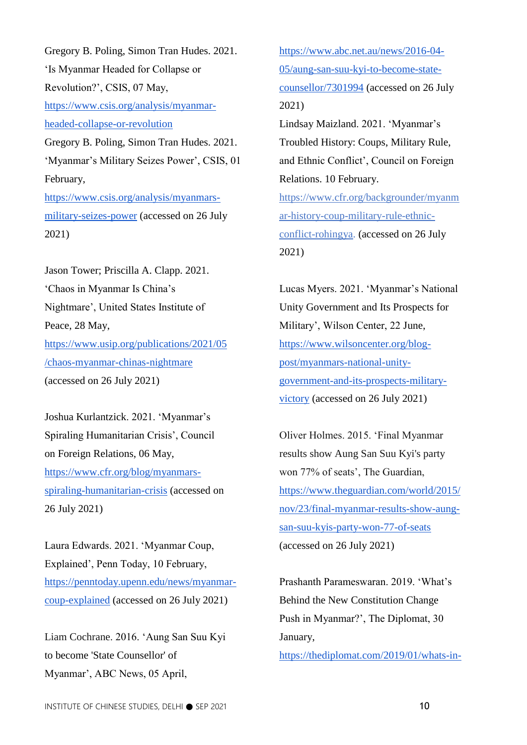Gregory B. Poling, Simon Tran Hudes. 2021. 'Is Myanmar Headed for Collapse or Revolution?', CSIS, 07 May, [https://www.csis.org/analysis/myanmar](https://www.csis.org/analysis/myanmar-headed-collapse-or-revolution)[headed-collapse-or-revolution](https://www.csis.org/analysis/myanmar-headed-collapse-or-revolution) Gregory B. Poling, Simon Tran Hudes. 2021. 'Myanmar's Military Seizes Power', CSIS, 01 February, [https://www.csis.org/analysis/myanmars](https://www.csis.org/analysis/myanmars-military-seizes-power)[military-seizes-power](https://www.csis.org/analysis/myanmars-military-seizes-power) (accessed on 26 July

2021)

[Jason Tower;](https://www.usip.org/people/jason-tower) [Priscilla A. Clapp.](https://www.usip.org/people/priscilla-clapp) 2021. 'Chaos in Myanmar Is China's Nightmare', United States Institute of Peace, 28 May, [https://www.usip.org/publications/2021/05](https://www.usip.org/publications/2021/05/chaos-myanmar-chinas-nightmare) [/chaos-myanmar-chinas-nightmare](https://www.usip.org/publications/2021/05/chaos-myanmar-chinas-nightmare) (accessed on 26 July 2021)

[Joshua Kurlantzick.](https://www.cfr.org/expert/joshua-kurlantzick) 2021. 'Myanmar's Spiraling Humanitarian Crisis', Council on Foreign Relations, 06 May, [https://www.cfr.org/blog/myanmars](https://www.cfr.org/blog/myanmars-spiraling-humanitarian-crisis)[spiraling-humanitarian-crisis](https://www.cfr.org/blog/myanmars-spiraling-humanitarian-crisis) (accessed on 26 July 2021)

Laura Edwards. 2021. 'Myanmar Coup, Explained', Penn Today, 10 February, [https://penntoday.upenn.edu/news/myanmar](https://penntoday.upenn.edu/news/myanmar-coup-explained)[coup-explained](https://penntoday.upenn.edu/news/myanmar-coup-explained) (accessed on 26 July 2021)

Liam Cochrane. 2016. 'Aung San Suu Kyi to become 'State Counsellor' of Myanmar', ABC News, 05 April,

[https://www.abc.net.au/news/2016-04-](https://www.abc.net.au/news/2016-04-05/aung-san-suu-kyi-to-become-state-counsellor/7301994) [05/aung-san-suu-kyi-to-become-state](https://www.abc.net.au/news/2016-04-05/aung-san-suu-kyi-to-become-state-counsellor/7301994)[counsellor/7301994](https://www.abc.net.au/news/2016-04-05/aung-san-suu-kyi-to-become-state-counsellor/7301994) (accessed on 26 July 2021) [Lindsay Maizland.](https://www.cfr.org/bio/lindsay-maizland) 2021. 'Myanmar's Troubled History: Coups, Military Rule, and Ethnic Conflict', Council on Foreign Relations. 10 February. [https://www.cfr.org/backgrounder/myanm](https://www.cfr.org/backgrounder/myanmar-history-coup-military-rule-ethnic-conflict-rohingya) [ar-history-coup-military-rule-ethnic](https://www.cfr.org/backgrounder/myanmar-history-coup-military-rule-ethnic-conflict-rohingya)[conflict-rohingya.](https://www.cfr.org/backgrounder/myanmar-history-coup-military-rule-ethnic-conflict-rohingya) (accessed on 26 July 2021)

Lucas Myers. 2021. 'Myanmar's National Unity Government and Its Prospects for Military', Wilson Center, 22 June, [https://www.wilsoncenter.org/blog](https://www.wilsoncenter.org/blog-post/myanmars-national-unity-government-and-its-prospects-military-victory)[post/myanmars-national-unity](https://www.wilsoncenter.org/blog-post/myanmars-national-unity-government-and-its-prospects-military-victory)[government-and-its-prospects-military](https://www.wilsoncenter.org/blog-post/myanmars-national-unity-government-and-its-prospects-military-victory)[victory](https://www.wilsoncenter.org/blog-post/myanmars-national-unity-government-and-its-prospects-military-victory) (accessed on 26 July 2021)

Oliver Holmes. 2015. 'Final Myanmar results show Aung San Suu Kyi's party won 77% of seats', The Guardian, [https://www.theguardian.com/world/2015/](https://www.theguardian.com/world/2015/nov/23/final-myanmar-results-show-aung-san-suu-kyis-party-won-77-of-seats) [nov/23/final-myanmar-results-show-aung](https://www.theguardian.com/world/2015/nov/23/final-myanmar-results-show-aung-san-suu-kyis-party-won-77-of-seats)[san-suu-kyis-party-won-77-of-seats](https://www.theguardian.com/world/2015/nov/23/final-myanmar-results-show-aung-san-suu-kyis-party-won-77-of-seats) (accessed on 26 July 2021)

Prashanth Parameswaran. 2019. 'What's Behind the New Constitution Change Push in Myanmar?', The Diplomat, 30 January,

[https://thediplomat.com/2019/01/whats-in-](https://thediplomat.com/2019/01/whats-in-the-new-constitution-change-push-in-myanmar/)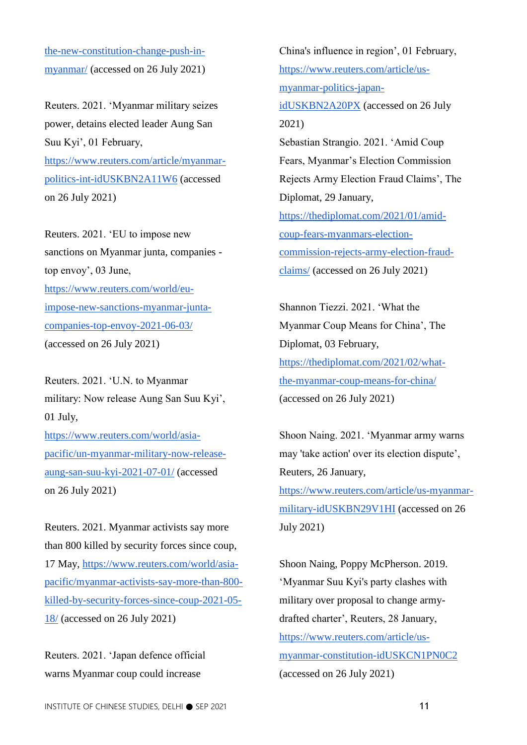[the-new-constitution-change-push-in](https://thediplomat.com/2019/01/whats-in-the-new-constitution-change-push-in-myanmar/)[myanmar/](https://thediplomat.com/2019/01/whats-in-the-new-constitution-change-push-in-myanmar/) (accessed on 26 July 2021)

Reuters. 2021. 'Myanmar military seizes power, detains elected leader Aung San Suu Kyi', 01 February, [https://www.reuters.com/article/myanmar](https://www.reuters.com/article/myanmar-politics-int-idUSKBN2A11W6)[politics-int-idUSKBN2A11W6](https://www.reuters.com/article/myanmar-politics-int-idUSKBN2A11W6) (accessed on 26 July 2021)

Reuters. 2021. 'EU to impose new sanctions on Myanmar junta, companies top envoy', 03 June, [https://www.reuters.com/world/eu](https://www.reuters.com/world/eu-impose-new-sanctions-myanmar-junta-companies-top-envoy-2021-06-03/)[impose-new-sanctions-myanmar-junta](https://www.reuters.com/world/eu-impose-new-sanctions-myanmar-junta-companies-top-envoy-2021-06-03/)[companies-top-envoy-2021-06-03/](https://www.reuters.com/world/eu-impose-new-sanctions-myanmar-junta-companies-top-envoy-2021-06-03/) (accessed on 26 July 2021)

Reuters. 2021. 'U.N. to Myanmar military: Now release Aung San Suu Kyi', 01 July, [https://www.reuters.com/world/asia](https://www.reuters.com/world/asia-pacific/un-myanmar-military-now-release-aung-san-suu-kyi-2021-07-01/)[pacific/un-myanmar-military-now-release-](https://www.reuters.com/world/asia-pacific/un-myanmar-military-now-release-aung-san-suu-kyi-2021-07-01/)

[aung-san-suu-kyi-2021-07-01/](https://www.reuters.com/world/asia-pacific/un-myanmar-military-now-release-aung-san-suu-kyi-2021-07-01/) (accessed on 26 July 2021)

Reuters. 2021. Myanmar activists say more than 800 killed by security forces since coup, 17 May, [https://www.reuters.com/world/asia](https://www.reuters.com/world/asia-pacific/myanmar-activists-say-more-than-800-killed-by-security-forces-since-coup-2021-05-18/)[pacific/myanmar-activists-say-more-than-800](https://www.reuters.com/world/asia-pacific/myanmar-activists-say-more-than-800-killed-by-security-forces-since-coup-2021-05-18/) [killed-by-security-forces-since-coup-2021-05-](https://www.reuters.com/world/asia-pacific/myanmar-activists-say-more-than-800-killed-by-security-forces-since-coup-2021-05-18/) [18/](https://www.reuters.com/world/asia-pacific/myanmar-activists-say-more-than-800-killed-by-security-forces-since-coup-2021-05-18/) (accessed on 26 July 2021)

Reuters. 2021. 'Japan defence official warns Myanmar coup could increase

China's influence in region', 01 February, [https://www.reuters.com/article/us](https://www.reuters.com/article/us-myanmar-politics-japan-idUSKBN2A20PX)[myanmar-politics-japan](https://www.reuters.com/article/us-myanmar-politics-japan-idUSKBN2A20PX)[idUSKBN2A20PX](https://www.reuters.com/article/us-myanmar-politics-japan-idUSKBN2A20PX) (accessed on 26 July 2021) Sebastian Strangio. 2021. 'Amid Coup Fears, Myanmar's Election Commission Rejects Army Election Fraud Claims', The Diplomat, 29 January, [https://thediplomat.com/2021/01/amid](https://thediplomat.com/2021/01/amid-coup-fears-myanmars-election-commission-rejects-army-election-fraud-claims/)[coup-fears-myanmars-election](https://thediplomat.com/2021/01/amid-coup-fears-myanmars-election-commission-rejects-army-election-fraud-claims/)[commission-rejects-army-election-fraud](https://thediplomat.com/2021/01/amid-coup-fears-myanmars-election-commission-rejects-army-election-fraud-claims/)[claims/](https://thediplomat.com/2021/01/amid-coup-fears-myanmars-election-commission-rejects-army-election-fraud-claims/) (accessed on 26 July 2021)

Shannon Tiezzi. 2021. 'What the Myanmar Coup Means for China', The Diplomat, 03 February, [https://thediplomat.com/2021/02/what](https://thediplomat.com/2021/02/what-the-myanmar-coup-means-for-china/)[the-myanmar-coup-means-for-china/](https://thediplomat.com/2021/02/what-the-myanmar-coup-means-for-china/) (accessed on 26 July 2021)

Shoon Naing. 2021. 'Myanmar army warns may 'take action' over its election dispute', Reuters, 26 January, [https://www.reuters.com/article/us-myanmar](https://www.reuters.com/article/us-myanmar-military-idUSKBN29V1HI)[military-idUSKBN29V1HI](https://www.reuters.com/article/us-myanmar-military-idUSKBN29V1HI) (accessed on 26 July 2021)

Shoon Naing, [Poppy McPherson.](https://www.reuters.com/journalists/poppy-mcpherson) 2019. 'Myanmar Suu Kyi's party clashes with military over proposal to change armydrafted charter', Reuters, 28 January, [https://www.reuters.com/article/us](https://www.reuters.com/article/us-myanmar-constitution-idUSKCN1PN0C2)[myanmar-constitution-idUSKCN1PN0C2](https://www.reuters.com/article/us-myanmar-constitution-idUSKCN1PN0C2) (accessed on 26 July 2021)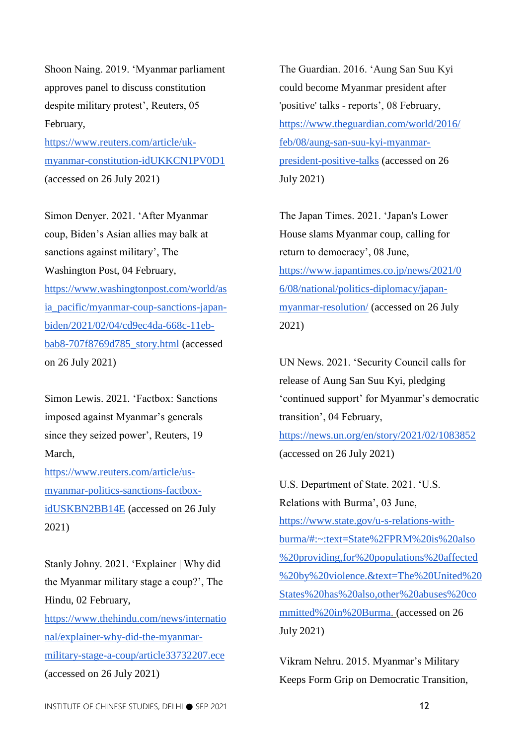Shoon Naing. 2019. 'Myanmar parliament approves panel to discuss constitution despite military protest', Reuters, 05 February,

[https://www.reuters.com/article/uk](https://www.reuters.com/article/uk-myanmar-constitution-idUKKCN1PV0D1)[myanmar-constitution-idUKKCN1PV0D1](https://www.reuters.com/article/uk-myanmar-constitution-idUKKCN1PV0D1) (accessed on 26 July 2021)

Simon Denyer. 2021. 'After Myanmar coup, Biden's Asian allies may balk at sanctions against military', The Washington Post, 04 February, [https://www.washingtonpost.com/world/as](https://www.washingtonpost.com/world/asia_pacific/myanmar-coup-sanctions-japan-biden/2021/02/04/cd9ec4da-668c-11eb-bab8-707f8769d785_story.html) [ia\\_pacific/myanmar-coup-sanctions-japan](https://www.washingtonpost.com/world/asia_pacific/myanmar-coup-sanctions-japan-biden/2021/02/04/cd9ec4da-668c-11eb-bab8-707f8769d785_story.html)[biden/2021/02/04/cd9ec4da-668c-11eb](https://www.washingtonpost.com/world/asia_pacific/myanmar-coup-sanctions-japan-biden/2021/02/04/cd9ec4da-668c-11eb-bab8-707f8769d785_story.html)[bab8-707f8769d785\\_story.html](https://www.washingtonpost.com/world/asia_pacific/myanmar-coup-sanctions-japan-biden/2021/02/04/cd9ec4da-668c-11eb-bab8-707f8769d785_story.html) (accessed on 26 July 2021)

Simon Lewis. 2021. 'Factbox: Sanctions imposed against Myanmar's generals since they seized power', Reuters, 19 March,

[https://www.reuters.com/article/us](https://www.reuters.com/article/us-myanmar-politics-sanctions-factbox-idUSKBN2BB14E)[myanmar-politics-sanctions-factbox](https://www.reuters.com/article/us-myanmar-politics-sanctions-factbox-idUSKBN2BB14E)[idUSKBN2BB14E](https://www.reuters.com/article/us-myanmar-politics-sanctions-factbox-idUSKBN2BB14E) (accessed on 26 July 2021)

Stanly Johny. 2021. 'Explainer | Why did the Myanmar military stage a coup?', The Hindu, 02 February,

[https://www.thehindu.com/news/internatio](https://www.thehindu.com/news/international/explainer-why-did-the-myanmar-military-stage-a-coup/article33732207.ece) [nal/explainer-why-did-the-myanmar](https://www.thehindu.com/news/international/explainer-why-did-the-myanmar-military-stage-a-coup/article33732207.ece)[military-stage-a-coup/article33732207.ece](https://www.thehindu.com/news/international/explainer-why-did-the-myanmar-military-stage-a-coup/article33732207.ece) (accessed on 26 July 2021)

The Guardian. 2016. 'Aung San Suu Kyi could become Myanmar president after 'positive' talks - reports', 08 February, [https://www.theguardian.com/world/2016/](https://www.theguardian.com/world/2016/feb/08/aung-san-suu-kyi-myanmar-president-positive-talks) [feb/08/aung-san-suu-kyi-myanmar](https://www.theguardian.com/world/2016/feb/08/aung-san-suu-kyi-myanmar-president-positive-talks)[president-positive-talks](https://www.theguardian.com/world/2016/feb/08/aung-san-suu-kyi-myanmar-president-positive-talks) (accessed on 26 July 2021)

The Japan Times. 2021. 'Japan's Lower House slams Myanmar coup, calling for return to democracy', 08 June, [https://www.japantimes.co.jp/news/2021/0](https://www.japantimes.co.jp/news/2021/06/08/national/politics-diplomacy/japan-myanmar-resolution/) [6/08/national/politics-diplomacy/japan](https://www.japantimes.co.jp/news/2021/06/08/national/politics-diplomacy/japan-myanmar-resolution/)[myanmar-resolution/](https://www.japantimes.co.jp/news/2021/06/08/national/politics-diplomacy/japan-myanmar-resolution/) (accessed on 26 July 2021)

UN News. 2021. 'Security Council calls for release of Aung San Suu Kyi, pledging 'continued support' for Myanmar's democratic transition', 04 February, <https://news.un.org/en/story/2021/02/1083852> (accessed on 26 July 2021)

U.S. Department of State. 2021. 'U.S. Relations with Burma', 03 June, [https://www.state.gov/u-s-relations-with](https://www.state.gov/u-s-relations-with-burma/#:~:text=State%2FPRM%20is%20also%20providing,for%20populations%20affected%20by%20violence.&text=The%20United%20States%20has%20also,other%20abuses%20committed%20in%20Burma)[burma/#:~:text=State%2FPRM%20is%20also](https://www.state.gov/u-s-relations-with-burma/#:~:text=State%2FPRM%20is%20also%20providing,for%20populations%20affected%20by%20violence.&text=The%20United%20States%20has%20also,other%20abuses%20committed%20in%20Burma) [%20providing,for%20populations%20affected](https://www.state.gov/u-s-relations-with-burma/#:~:text=State%2FPRM%20is%20also%20providing,for%20populations%20affected%20by%20violence.&text=The%20United%20States%20has%20also,other%20abuses%20committed%20in%20Burma) [%20by%20violence.&text=The%20United%20](https://www.state.gov/u-s-relations-with-burma/#:~:text=State%2FPRM%20is%20also%20providing,for%20populations%20affected%20by%20violence.&text=The%20United%20States%20has%20also,other%20abuses%20committed%20in%20Burma) [States%20has%20also,other%20abuses%20co](https://www.state.gov/u-s-relations-with-burma/#:~:text=State%2FPRM%20is%20also%20providing,for%20populations%20affected%20by%20violence.&text=The%20United%20States%20has%20also,other%20abuses%20committed%20in%20Burma) [mmitted%20in%20Burma.](https://www.state.gov/u-s-relations-with-burma/#:~:text=State%2FPRM%20is%20also%20providing,for%20populations%20affected%20by%20violence.&text=The%20United%20States%20has%20also,other%20abuses%20committed%20in%20Burma) (accessed on 26 July 2021)

Vikram Nehru. 2015. Myanmar's Military Keeps Form Grip on Democratic Transition,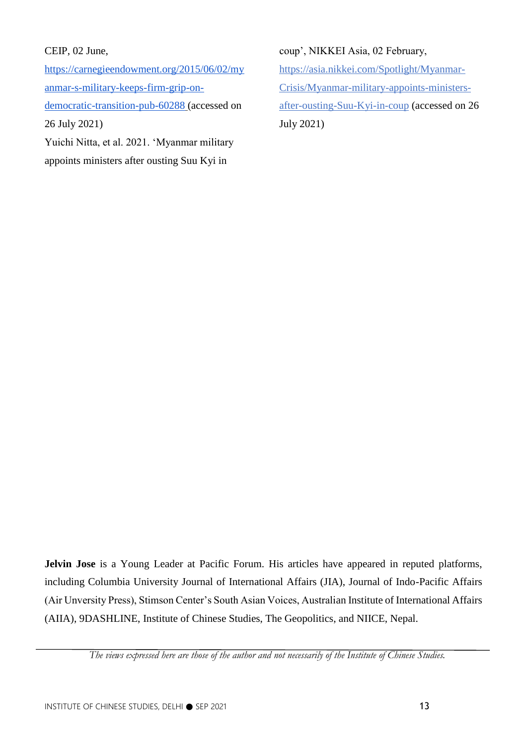## CEIP, 02 June,

[https://carnegieendowment.org/2015/06/02/my](https://carnegieendowment.org/2015/06/02/myanmar-s-military-keeps-firm-grip-on-democratic-transition-pub-60288) [anmar-s-military-keeps-firm-grip-on](https://carnegieendowment.org/2015/06/02/myanmar-s-military-keeps-firm-grip-on-democratic-transition-pub-60288)[democratic-transition-pub-60288](https://carnegieendowment.org/2015/06/02/myanmar-s-military-keeps-firm-grip-on-democratic-transition-pub-60288) (accessed on 26 July 2021) Yuichi Nitta, et al. 2021. 'Myanmar military

appoints ministers after ousting Suu Kyi in

## coup', NIKKEI Asia, 02 February,

[https://asia.nikkei.com/Spotlight/Myanmar-](https://asia.nikkei.com/Spotlight/Myanmar-Crisis/Myanmar-military-appoints-ministers-after-ousting-Suu-Kyi-in-coup)[Crisis/Myanmar-military-appoints-ministers](https://asia.nikkei.com/Spotlight/Myanmar-Crisis/Myanmar-military-appoints-ministers-after-ousting-Suu-Kyi-in-coup)[after-ousting-Suu-Kyi-in-coup](https://asia.nikkei.com/Spotlight/Myanmar-Crisis/Myanmar-military-appoints-ministers-after-ousting-Suu-Kyi-in-coup) (accessed on 26 July 2021)

**Jelvin Jose** is a Young Leader at Pacific Forum. His articles have appeared in reputed platforms, including Columbia University Journal of International Affairs (JIA), Journal of Indo-Pacific Affairs (Air Unversity Press), Stimson Center's South Asian Voices, Australian Institute of International Affairs (AIIA), 9DASHLINE, Institute of Chinese Studies, The Geopolitics, and NIICE, Nepal.

*The views expressed here are those of the author and not necessarily of the Institute of Chinese Studies.*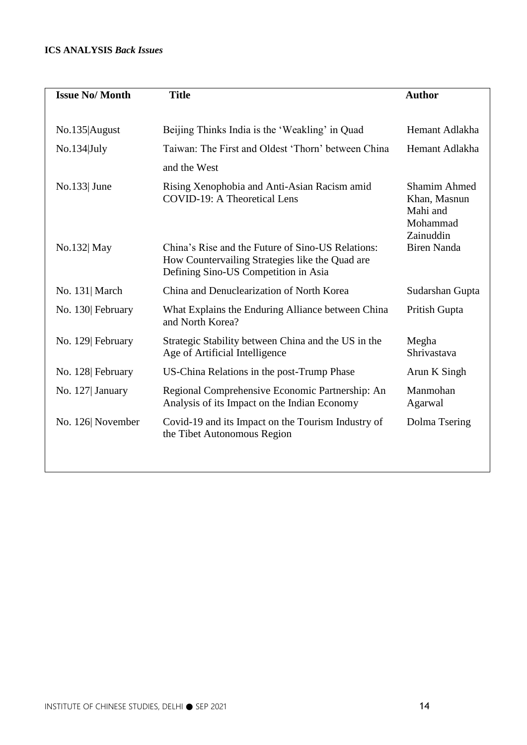## **ICS ANALYSIS** *Back Issues*

| <b>Issue No/Month</b> | <b>Title</b>                                                                                                                                 | <b>Author</b>                                                            |
|-----------------------|----------------------------------------------------------------------------------------------------------------------------------------------|--------------------------------------------------------------------------|
|                       |                                                                                                                                              |                                                                          |
| No.135 August         | Beijing Thinks India is the 'Weakling' in Quad                                                                                               | Hemant Adlakha                                                           |
| No.134 July           | Taiwan: The First and Oldest 'Thorn' between China                                                                                           | Hemant Adlakha                                                           |
|                       | and the West                                                                                                                                 |                                                                          |
| $\text{No.}133$ June  | Rising Xenophobia and Anti-Asian Racism amid<br><b>COVID-19: A Theoretical Lens</b>                                                          | <b>Shamim Ahmed</b><br>Khan, Masnun<br>Mahi and<br>Mohammad<br>Zainuddin |
| No.132 May            | China's Rise and the Future of Sino-US Relations:<br>How Countervailing Strategies like the Quad are<br>Defining Sino-US Competition in Asia | <b>Biren Nanda</b>                                                       |
| No. 131 March         | China and Denuclearization of North Korea                                                                                                    | Sudarshan Gupta                                                          |
| No. 130 February      | What Explains the Enduring Alliance between China<br>and North Korea?                                                                        | Pritish Gupta                                                            |
| No. 129 February      | Strategic Stability between China and the US in the<br>Age of Artificial Intelligence                                                        | Megha<br>Shrivastava                                                     |
| No. 128 February      | US-China Relations in the post-Trump Phase                                                                                                   | Arun K Singh                                                             |
| No. 127 January       | Regional Comprehensive Economic Partnership: An<br>Analysis of its Impact on the Indian Economy                                              | Manmohan<br>Agarwal                                                      |
| No. 126 November      | Covid-19 and its Impact on the Tourism Industry of<br>the Tibet Autonomous Region                                                            | Dolma Tsering                                                            |
|                       |                                                                                                                                              |                                                                          |